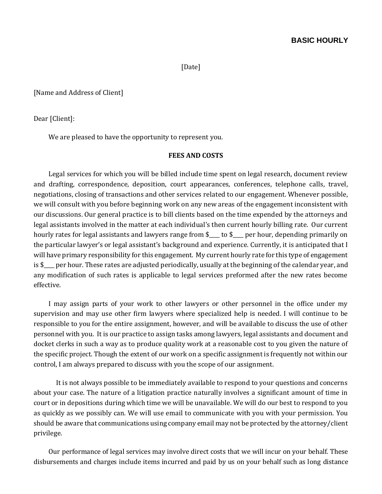[Date]

[Name and Address of Client]

Dear [Client]:

We are pleased to have the opportunity to represent you.

#### **FEES AND COSTS**

Legal services for which you will be billed include time spent on legal research, document review and drafting, correspondence, deposition, court appearances, conferences, telephone calls, travel, negotiations, closing of transactions and other services related to our engagement. Whenever possible, we will consult with you before beginning work on any new areas of the engagement inconsistent with our discussions. Our general practice is to bill clients based on the time expended by the attorneys and legal assistants involved in the matter at each individual's then current hourly billing rate. Our current hourly rates for legal assistants and lawyers range from \$\_\_\_ to \$\_\_\_ per hour, depending primarily on the particular lawyer's or legal assistant's background and experience. Currently, it is anticipated that I will have primary responsibility for this engagement. My current hourly rate for this type of engagement is \$\_\_\_\_ per hour. These rates are adjusted periodically, usually at the beginning of the calendar year, and any modification of such rates is applicable to legal services preformed after the new rates become effective.

I may assign parts of your work to other lawyers or other personnel in the office under my supervision and may use other firm lawyers where specialized help is needed. I will continue to be responsible to you for the entire assignment, however, and will be available to discuss the use of other personnel with you. It is our practice to assign tasks among lawyers, legal assistants and document and docket clerks in such a way as to produce quality work at a reasonable cost to you given the nature of the specific project. Though the extent of our work on a specific assignment is frequently not within our control, I am always prepared to discuss with you the scope of our assignment.

It is not always possible to be immediately available to respond to your questions and concerns about your case. The nature of a litigation practice naturally involves a significant amount of time in court or in depositions during which time we will be unavailable. We will do our best to respond to you as quickly as we possibly can. We will use email to communicate with you with your permission. You should be aware that communications using company email may not be protected by the attorney/client privilege.

Our performance of legal services may involve direct costs that we will incur on your behalf. These disbursements and charges include items incurred and paid by us on your behalf such as long distance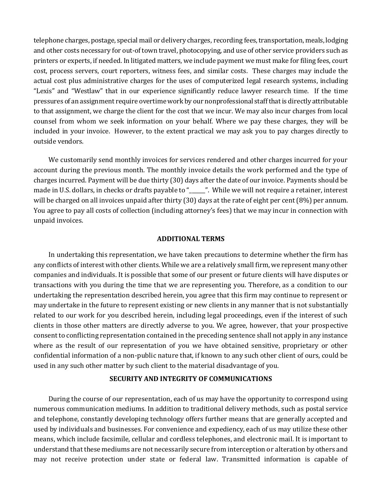telephone charges, postage, special mail or delivery charges, recording fees, transportation, meals, lodging and other costs necessary for out-of town travel, photocopying, and use of other service providers such as printers or experts, if needed. In litigated matters, we include payment we must make for filing fees, court cost, process servers, court reporters, witness fees, and similar costs. These charges may include the actual cost plus administrative charges for the uses of computerized legal research systems, including "Lexis" and "Westlaw" that in our experience significantly reduce lawyer research time. If the time pressures of an assignment require overtime work by our nonprofessional staff that is directly attributable to that assignment, we charge the client for the cost that we incur. We may also incur charges from local counsel from whom we seek information on your behalf. Where we pay these charges, they will be included in your invoice. However, to the extent practical we may ask you to pay charges directly to outside vendors.

We customarily send monthly invoices for services rendered and other charges incurred for your account during the previous month. The monthly invoice details the work performed and the type of charges incurred. Payment will be due thirty (30) days after the date of our invoice. Payments should be made in U.S. dollars, in checks or drafts payable to "\_\_\_\_\_". While we will not require a retainer, interest will be charged on all invoices unpaid after thirty (30) days at the rate of eight per cent (8%) per annum. You agree to pay all costs of collection (including attorney's fees) that we may incur in connection with unpaid invoices.

#### **ADDITIONAL TERMS**

In undertaking this representation, we have taken precautions to determine whether the firm has any conflicts of interest with other clients. While we are a relatively small firm, we represent many other companies and individuals. It is possible that some of our present or future clients will have disputes or transactions with you during the time that we are representing you. Therefore, as a condition to our undertaking the representation described herein, you agree that this firm may continue to represent or may undertake in the future to represent existing or new clients in any manner that is not substantially related to our work for you described herein, including legal proceedings, even if the interest of such clients in those other matters are directly adverse to you. We agree, however, that your prospective consent to conflicting representation contained in the preceding sentence shall not apply in any instance where as the result of our representation of you we have obtained sensitive, proprietary or other confidential information of a non-public nature that, if known to any such other client of ours, could be used in any such other matter by such client to the material disadvantage of you.

# **SECURITY AND INTEGRITY OF COMMUNICATIONS**

During the course of our representation, each of us may have the opportunity to correspond using numerous communication mediums. In addition to traditional delivery methods, such as postal service and telephone, constantly developing technology offers further means that are generally accepted and used by individuals and businesses. For convenience and expediency, each of us may utilize these other means, which include facsimile, cellular and cordless telephones, and electronic mail. It is important to understand that these mediums are not necessarily secure from interception or alteration by others and may not receive protection under state or federal law. Transmitted information is capable of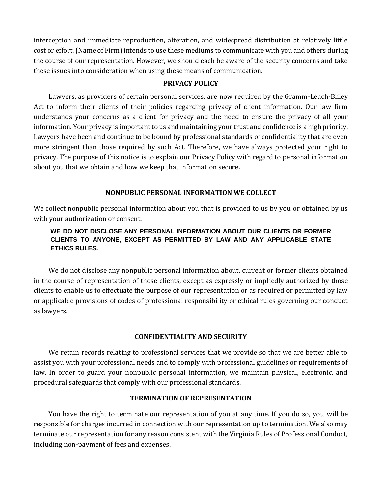interception and immediate reproduction, alteration, and widespread distribution at relatively little cost or effort. (Name of Firm) intends to use these mediums to communicate with you and others during the course of our representation. However, we should each be aware of the security concerns and take these issues into consideration when using these means of communication.

### **PRIVACY POLICY**

Lawyers, as providers of certain personal services, are now required by the Gramm-Leach-Bliley Act to inform their clients of their policies regarding privacy of client information. Our law firm understands your concerns as a client for privacy and the need to ensure the privacy of all your information. Your privacy is important to us and maintaining your trust and confidence is a high priority. Lawyers have been and continue to be bound by professional standards of confidentiality that are even more stringent than those required by such Act. Therefore, we have always protected your right to privacy. The purpose of this notice is to explain our Privacy Policy with regard to personal information about you that we obtain and how we keep that information secure.

# **NONPUBLIC PERSONAL INFORMATION WE COLLECT**

We collect nonpublic personal information about you that is provided to us by you or obtained by us with your authorization or consent.

# **WE DO NOT DISCLOSE ANY PERSONAL INFORMATION ABOUT OUR CLIENTS OR FORMER CLIENTS TO ANYONE, EXCEPT AS PERMITTED BY LAW AND ANY APPLICABLE STATE ETHICS RULES.**

We do not disclose any nonpublic personal information about, current or former clients obtained in the course of representation of those clients, except as expressly or impliedly authorized by those clients to enable us to effectuate the purpose of our representation or as required or permitted by law or applicable provisions of codes of professional responsibility or ethical rules governing our conduct as lawyers.

#### **CONFIDENTIALITY AND SECURITY**

We retain records relating to professional services that we provide so that we are better able to assist you with your professional needs and to comply with professional guidelines or requirements of law. In order to guard your nonpublic personal information, we maintain physical, electronic, and procedural safeguards that comply with our professional standards.

## **TERMINATION OF REPRESENTATION**

You have the right to terminate our representation of you at any time. If you do so, you will be responsible for charges incurred in connection with our representation up to termination. We also may terminate our representation for any reason consistent with the Virginia Rules of Professional Conduct, including non-payment of fees and expenses.